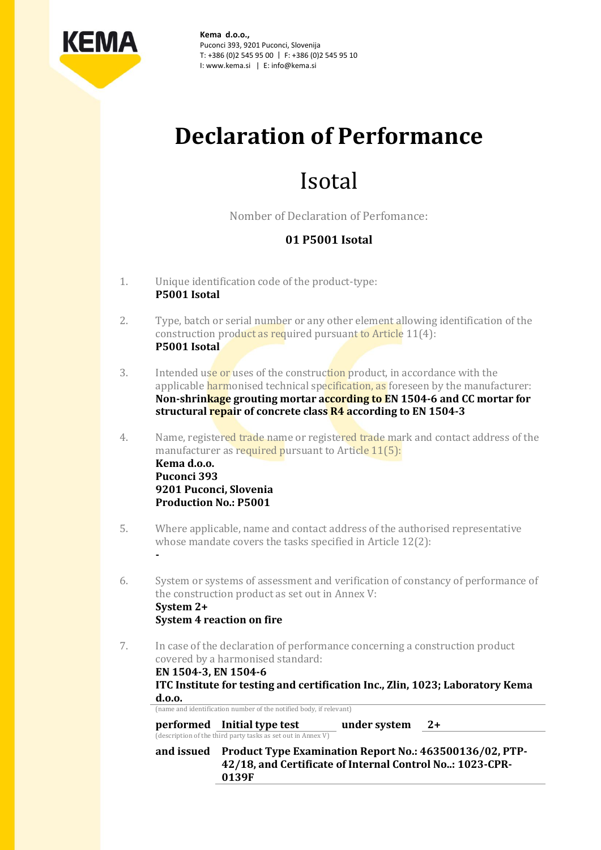

**Kema d.o.o.,** Puconci 393, 9201 Puconci, Slovenija T: +386 (0)2 545 95 00 | F: +386 (0)2 545 95 10 I: www.kema.si | E: info@kema.si

# **Declaration of Performance**

## Isotal

Nomber of Declaration of Perfomance:

### **01 P5001 Isotal**

1. Unique identification code of the product-type: **P5001 Isotal**

**-**

- 2. Type, batch or serial number or any other element allowing identification of the construction product as required pursuant to Article 11(4): **P5001 Isotal**
- 3. Intended use or uses of the construction product, in accordance with the applicable harmonised technical specification, as foreseen by the manufacturer: **Non-shrinkage grouting mortar according to EN 1504-6 and CC mortar for structural repair of concrete class R4 according to EN 1504-3**
- 4. Name, registered trade name or registered trade mark and contact address of the manufacturer as required pursuant to Article 11(5): **Kema d.o.o. Puconci 393 9201 Puconci, Slovenia Production No.: P5001**
- 5. Where applicable, name and contact address of the authorised representative whose mandate covers the tasks specified in Article 12(2):
- 6. System or systems of assessment and verification of constancy of performance of the construction product as set out in Annex V: **System 2+ System 4 reaction on fire**
- 7. In case of the declaration of performance concerning a construction product covered by a harmonised standard:

| EN 1504-3, EN 1504-6 | ITC Institute for testing and certification Inc., Zlin, 1023; Laboratory Kema                                                |              |      |  |
|----------------------|------------------------------------------------------------------------------------------------------------------------------|--------------|------|--|
| d.0.0.               |                                                                                                                              |              |      |  |
|                      | (name and identification number of the notified body, if relevant)                                                           |              |      |  |
|                      | performed Initial type test<br>(description of the third party tasks as set out in Annex V)                                  | under system | $2+$ |  |
| and issued           | Product Type Examination Report No.: 463500136/02, PTP-<br>42/18, and Certificate of Internal Control No: 1023-CPR-<br>0139F |              |      |  |